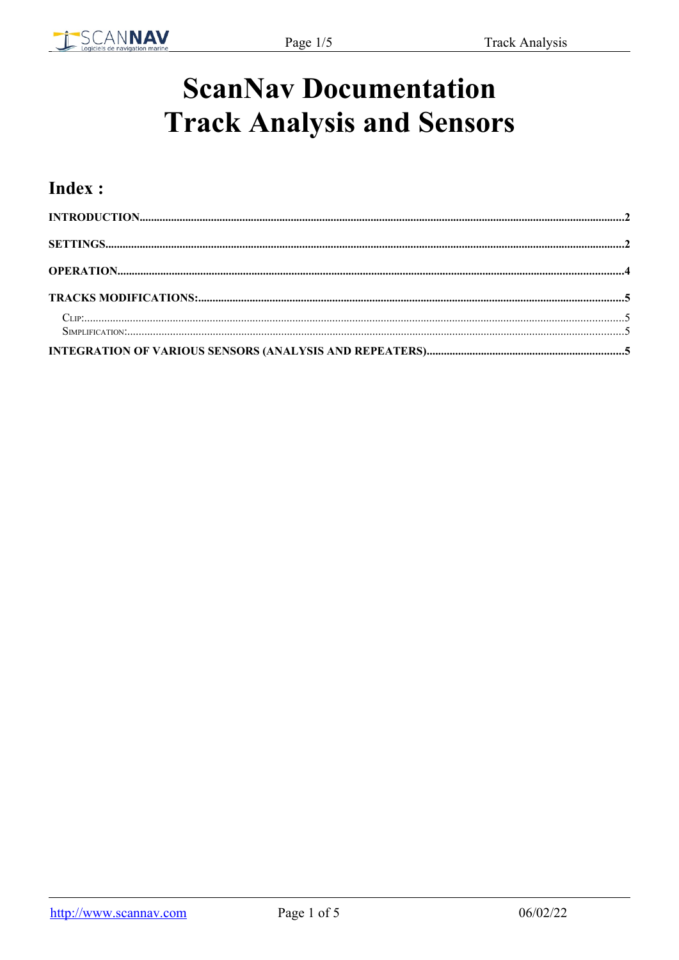

# **ScanNav Documentation Track Analysis and Sensors**

### Index: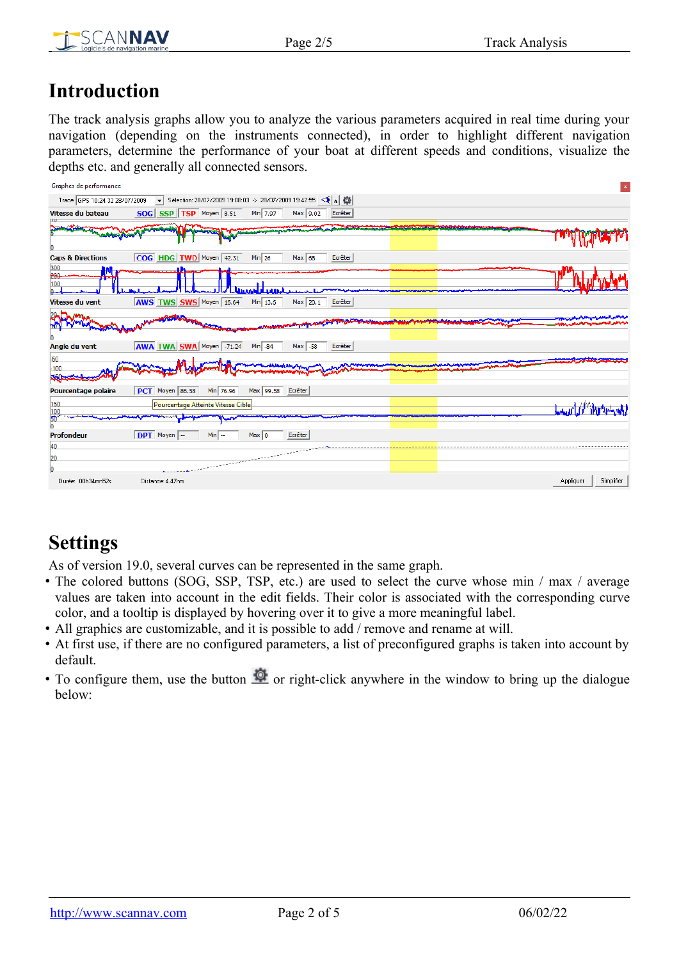

### <span id="page-1-0"></span>**Introduction**

The track analysis graphs allow you to analyze the various parameters acquired in real time during your navigation (depending on the instruments connected), in order to highlight different navigation parameters, determine the performance of your boat at different speeds and conditions, visualize the depths etc. and generally all connected sensors.

| Graphes de performance         |                                                                                                                  |                         |
|--------------------------------|------------------------------------------------------------------------------------------------------------------|-------------------------|
| Trace: GPS 10:24:32 28/07/2009 | ▼ Sélection: 28/07/2009 19:08:03 -> 28/07/2009 19:42:55 < A                                                      |                         |
| Vitesse du bateau              | SOG SSP TSP Moyen 8.51<br>Min 7.97<br>Max 9.02<br>Ecrêter                                                        |                         |
| <b>SANGHANG BEN</b>            |                                                                                                                  |                         |
|                                |                                                                                                                  |                         |
| <b>Caps &amp; Directions</b>   | COG HDG TWD Moyen 42.31<br>Min $26$<br>Max 68<br>Ecrêter                                                         |                         |
| 300<br>M,                      |                                                                                                                  |                         |
| 200<br>100                     |                                                                                                                  |                         |
| Vitesse du vent                | <b>AWS TWS SWS</b> Moyen 16.64<br>Min $13.6$<br>Ecrêter<br>Max 20.1                                              |                         |
|                                |                                                                                                                  |                         |
| Angle du vent                  | <b>AWA TWA SWA</b> Moyen -71.24<br>$Min$ -84<br>Ecrêter<br>Max -58                                               |                         |
| $-50$                          |                                                                                                                  |                         |
| $-100$<br>350a                 |                                                                                                                  |                         |
| Pourcentage polaire            | PCT Moyen 86.58<br>Min 76.96<br>Max 99.58 Ecrêter                                                                |                         |
| 150<br>100                     | Pourcentage Atteinte Vitesse Cible                                                                               | Law 10 Marriage         |
| 50                             |                                                                                                                  |                         |
| <b>Profondeur</b>              | DPT Moyen<br>Ecrêter<br>$Min$ $-$<br>Max 10                                                                      |                         |
| 40                             |                                                                                                                  |                         |
| 20                             | and the company of the company of the company of the company of the company of the company of the company of the |                         |
| Durée: 00h34mn52s              | Distance: 4.47nm                                                                                                 | Simplifier<br>Appliquer |

# <span id="page-1-1"></span>**Settings**

As of version 19.0, several curves can be represented in the same graph.

- The colored buttons (SOG, SSP, TSP, etc.) are used to select the curve whose min / max / average values are taken into account in the edit fields. Their color is associated with the corresponding curve color, and a tooltip is displayed by hovering over it to give a more meaningful label.
- All graphics are customizable, and it is possible to add / remove and rename at will.
- At first use, if there are no configured parameters, a list of preconfigured graphs is taken into account by default.
- To configure them, use the button  $\Omega$  or right-click anywhere in the window to bring up the dialogue below: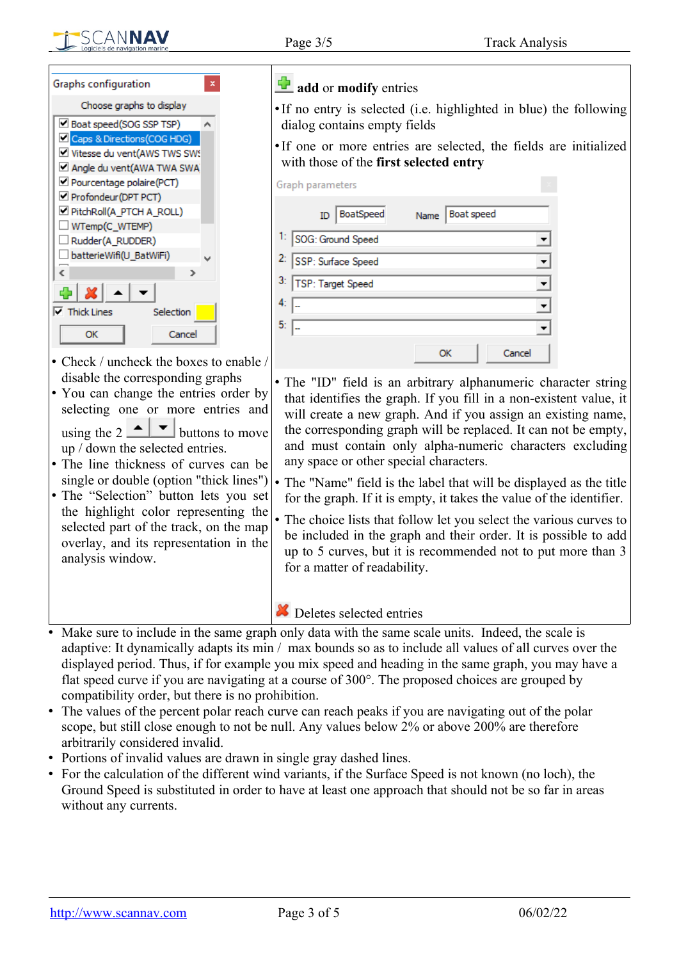

| Graphs configuration                                          |  |  |  |  |
|---------------------------------------------------------------|--|--|--|--|
| Choose graphs to display                                      |  |  |  |  |
| □ Boat speed(SOG SSP TSP)                                     |  |  |  |  |
| Caps & Directions (COG HDG)                                   |  |  |  |  |
| Vitesse du vent(AWS TWS SWS                                   |  |  |  |  |
| Angle du vent(AWA TWA SWA                                     |  |  |  |  |
| Pourcentage polaire(PCT)                                      |  |  |  |  |
| Profondeur (DPT PCT)                                          |  |  |  |  |
| PitchRoll(A_PTCH A_ROLL)                                      |  |  |  |  |
| WTemp(C_WTEMP)                                                |  |  |  |  |
| □ Rudder(A_RUDDER)                                            |  |  |  |  |
| batterieWifi(U_BatWiFi)                                       |  |  |  |  |
| ć<br>$\rightarrow$                                            |  |  |  |  |
| 4 X                                                           |  |  |  |  |
| $\nabla$ Thick Lines<br>Selection                             |  |  |  |  |
| Cancel<br>ОК                                                  |  |  |  |  |
| $Cl_{2,2}$ and a strongly and a finite distance of $Cl_{2,2}$ |  |  |  |  |

- Check / uncheck the boxes to enable / disable the corresponding graphs
- You can change the entries order by selecting one or more entries and using the  $2 \cdot 2$  buttons to move up / down the selected entries.
- The line thickness of curves can be single or double (option "thick lines")
- The "Selection" button lets you set the highlight color representing the selected part of the track, on the map overlay, and its representation in the analysis window.

#### **d** add or **modify** entries

- •If no entry is selected (i.e. highlighted in blue) the following dialog contains empty fields
- •If one or more entries are selected, the fields are initialized with those of the **first selected entry**

| Graph parameters      |                           |
|-----------------------|---------------------------|
| BoatSpeed<br>ID       | <b>Boat speed</b><br>Name |
| 1: SOG: Ground Speed  |                           |
| 2: SSP: Surface Speed |                           |
| 3: TSP: Target Speed  |                           |
|                       |                           |
| 5:                    |                           |
|                       | Cancel<br>OK              |

- The "ID" field is an arbitrary alphanumeric character string that identifies the graph. If you fill in a non-existent value, it will create a new graph. And if you assign an existing name, the corresponding graph will be replaced. It can not be empty, and must contain only alpha-numeric characters excluding any space or other special characters.
- The "Name" field is the label that will be displayed as the title for the graph. If it is empty, it takes the value of the identifier.
- The choice lists that follow let you select the various curves to be included in the graph and their order. It is possible to add up to 5 curves, but it is recommended not to put more than 3 for a matter of readability.

#### **X** Deletes selected entries

- Make sure to include in the same graph only data with the same scale units. Indeed, the scale is adaptive: It dynamically adapts its min / max bounds so as to include all values of all curves over the displayed period. Thus, if for example you mix speed and heading in the same graph, you may have a flat speed curve if you are navigating at a course of 300°. The proposed choices are grouped by compatibility order, but there is no prohibition.
- The values of the percent polar reach curve can reach peaks if you are navigating out of the polar scope, but still close enough to not be null. Any values below 2% or above 200% are therefore arbitrarily considered invalid.
- Portions of invalid values are drawn in single gray dashed lines.
- For the calculation of the different wind variants, if the Surface Speed is not known (no loch), the Ground Speed is substituted in order to have at least one approach that should not be so far in areas without any currents.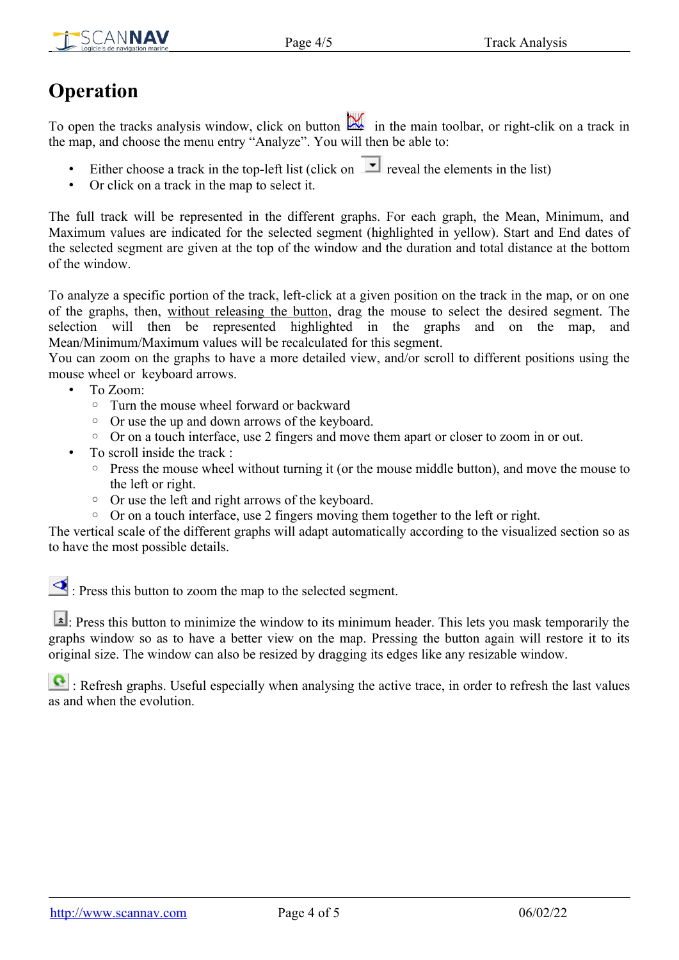

## <span id="page-3-0"></span>**Operation**

To open the tracks analysis window, click on button **in the main toolbar**, or right-clik on a track in the map, and choose the menu entry "Analyze". You will then be able to:

- Either choose a track in the top-left list (click on  $\boxed{\blacksquare}$  reveal the elements in the list)
- Or click on a track in the map to select it.

The full track will be represented in the different graphs. For each graph, the Mean, Minimum, and Maximum values are indicated for the selected segment (highlighted in yellow). Start and End dates of the selected segment are given at the top of the window and the duration and total distance at the bottom of the window.

To analyze a specific portion of the track, left-click at a given position on the track in the map, or on one of the graphs, then, without releasing the button, drag the mouse to select the desired segment. The selection will then be represented highlighted in the graphs and on the map, and Mean/Minimum/Maximum values will be recalculated for this segment.

You can zoom on the graphs to have a more detailed view, and/or scroll to different positions using the mouse wheel or keyboard arrows.

- To Zoom:
	- Turn the mouse wheel forward or backward
	- Or use the up and down arrows of the keyboard.
	- Or on a touch interface, use 2 fingers and move them apart or closer to zoom in or out.
- To scroll inside the track :
	- Press the mouse wheel without turning it (or the mouse middle button), and move the mouse to the left or right.
	- Or use the left and right arrows of the keyboard.
	- Or on a touch interface, use 2 fingers moving them together to the left or right.

The vertical scale of the different graphs will adapt automatically according to the visualized section so as to have the most possible details.

: Press this button to zoom the map to the selected segment.

: Press this button to minimize the window to its minimum header. This lets you mask temporarily the graphs window so as to have a better view on the map. Pressing the button again will restore it to its original size. The window can also be resized by dragging its edges like any resizable window.

Refresh graphs. Useful especially when analysing the active trace, in order to refresh the last values as and when the evolution.